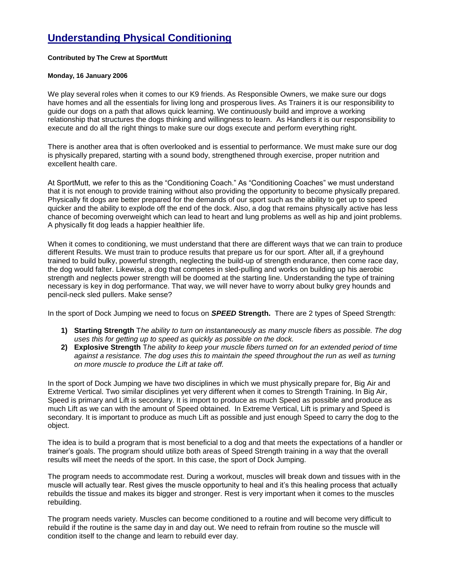## **Understanding Physical Conditioning**

## **Contributed by The Crew at SportMutt**

## **Monday, 16 January 2006**

We play several roles when it comes to our K9 friends. As Responsible Owners, we make sure our dogs have homes and all the essentials for living long and prosperous lives. As Trainers it is our responsibility to guide our dogs on a path that allows quick learning. We continuously build and improve a working relationship that structures the dogs thinking and willingness to learn. As Handlers it is our responsibility to execute and do all the right things to make sure our dogs execute and perform everything right.

There is another area that is often overlooked and is essential to performance. We must make sure our dog is physically prepared, starting with a sound body, strengthened through exercise, proper nutrition and excellent health care.

At SportMutt, we refer to this as the "Conditioning Coach." As "Conditioning Coaches" we must understand that it is not enough to provide training without also providing the opportunity to become physically prepared. Physically fit dogs are better prepared for the demands of our sport such as the ability to get up to speed quicker and the ability to explode off the end of the dock. Also, a dog that remains physically active has less chance of becoming overweight which can lead to heart and lung problems as well as hip and joint problems. A physically fit dog leads a happier healthier life.

When it comes to conditioning, we must understand that there are different ways that we can train to produce different Results. We must train to produce results that prepare us for our sport. After all, if a greyhound trained to build bulky, powerful strength, neglecting the build-up of strength endurance, then come race day, the dog would falter. Likewise, a dog that competes in sled-pulling and works on building up his aerobic strength and neglects power strength will be doomed at the starting line. Understanding the type of training necessary is key in dog performance. That way, we will never have to worry about bulky grey hounds and pencil-neck sled pullers. Make sense?

In the sport of Dock Jumping we need to focus on *SPEED* **Strength.** There are 2 types of Speed Strength:

- **1) Starting Strength** T*he ability to turn on instantaneously as many muscle fibers as possible. The dog uses this for getting up to speed as quickly as possible on the dock.*
- **2) Explosive Strength** T*he ability to keep your muscle fibers turned on for an extended period of time against a resistance. The dog uses this to maintain the speed throughout the run as well as turning on more muscle to produce the Lift at take off.*

In the sport of Dock Jumping we have two disciplines in which we must physically prepare for, Big Air and Extreme Vertical. Two similar disciplines yet very different when it comes to Strength Training. In Big Air, Speed is primary and Lift is secondary. It is import to produce as much Speed as possible and produce as much Lift as we can with the amount of Speed obtained. In Extreme Vertical, Lift is primary and Speed is secondary. It is important to produce as much Lift as possible and just enough Speed to carry the dog to the object.

The idea is to build a program that is most beneficial to a dog and that meets the expectations of a handler or trainer's goals. The program should utilize both areas of Speed Strength training in a way that the overall results will meet the needs of the sport. In this case, the sport of Dock Jumping.

The program needs to accommodate rest. During a workout, muscles will break down and tissues with in the muscle will actually tear. Rest gives the muscle opportunity to heal and it's this healing process that actually rebuilds the tissue and makes its bigger and stronger. Rest is very important when it comes to the muscles rebuilding.

The program needs variety. Muscles can become conditioned to a routine and will become very difficult to rebuild if the routine is the same day in and day out. We need to refrain from routine so the muscle will condition itself to the change and learn to rebuild ever day.